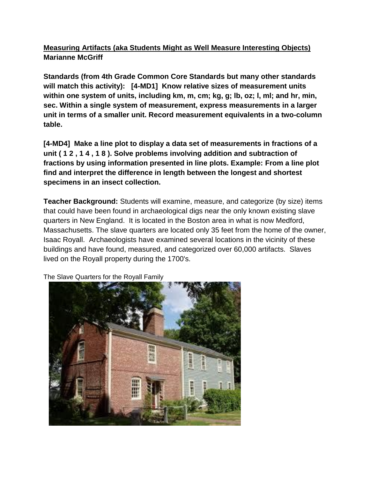## **Measuring Artifacts (aka Students Might as Well Measure Interesting Objects) Marianne McGriff**

**Standards (from 4th Grade Common Core Standards but many other standards will match this activity): [4-MD1] Know relative sizes of measurement units within one system of units, including km, m, cm; kg, g; lb, oz; l, ml; and hr, min, sec. Within a single system of measurement, express measurements in a larger unit in terms of a smaller unit. Record measurement equivalents in a two-column table.**

**[4-MD4] Make a line plot to display a data set of measurements in fractions of a unit ( 1 2 , 1 4 , 1 8 ). Solve problems involving addition and subtraction of fractions by using information presented in line plots. Example: From a line plot find and interpret the difference in length between the longest and shortest specimens in an insect collection.**

**Teacher Background:** Students will examine, measure, and categorize (by size) items that could have been found in archaeological digs near the only known existing slave quarters in New England. It is located in the Boston area in what is now Medford, Massachusetts. The slave quarters are located only 35 feet from the home of the owner, Isaac Royall. Archaeologists have examined several locations in the vicinity of these buildings and have found, measured, and categorized over 60,000 artifacts. Slaves lived on the Royall property during the 1700's.



The Slave Quarters for the Royall Family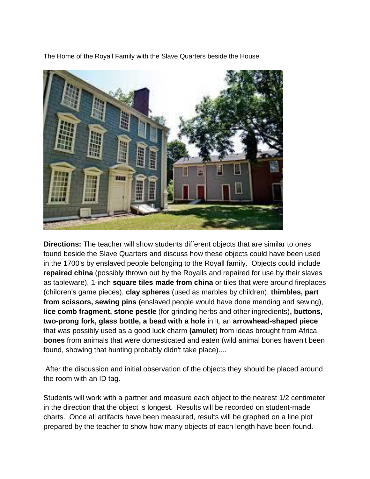The Home of the Royall Family with the Slave Quarters beside the House



**Directions:** The teacher will show students different objects that are similar to ones found beside the Slave Quarters and discuss how these objects could have been used in the 1700's by enslaved people belonging to the Royall family. Objects could include **repaired china** (possibly thrown out by the Royalls and repaired for use by their slaves as tableware), 1-inch **square tiles made from china** or tiles that were around fireplaces (children's game pieces), **clay spheres** (used as marbles by children), **thimbles, part from scissors, sewing pins** (enslaved people would have done mending and sewing), **lice comb fragment, stone pestle** (for grinding herbs and other ingredients)**, buttons, two-prong fork, glass bottle, a bead with a hole** in it, an **arrowhead-shaped piece** that was possibly used as a good luck charm **(amulet**) from ideas brought from Africa, **bones** from animals that were domesticated and eaten (wild animal bones haven't been found, showing that hunting probably didn't take place)....

After the discussion and initial observation of the objects they should be placed around the room with an ID tag.

Students will work with a partner and measure each object to the nearest 1/2 centimeter in the direction that the object is longest. Results will be recorded on student-made charts. Once all artifacts have been measured, results will be graphed on a line plot prepared by the teacher to show how many objects of each length have been found.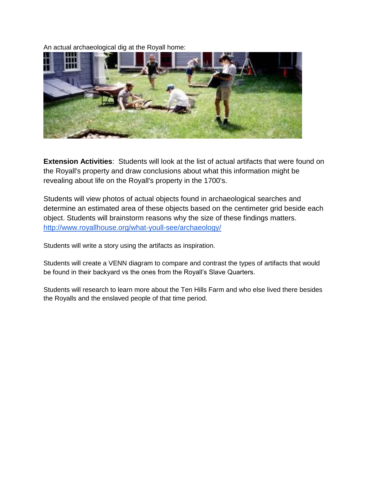An actual archaeological dig at the Royall home:



**Extension Activities**: Students will look at the list of actual artifacts that were found on the Royall's property and draw conclusions about what this information might be revealing about life on the Royall's property in the 1700's.

Students will view photos of actual objects found in archaeological searches and determine an estimated area of these objects based on the centimeter grid beside each object. Students will brainstorm reasons why the size of these findings matters. <http://www.royallhouse.org/what-youll-see/archaeology/>

Students will write a story using the artifacts as inspiration.

Students will create a VENN diagram to compare and contrast the types of artifacts that would be found in their backyard vs the ones from the Royall's Slave Quarters.

Students will research to learn more about the Ten Hills Farm and who else lived there besides the Royalls and the enslaved people of that time period.